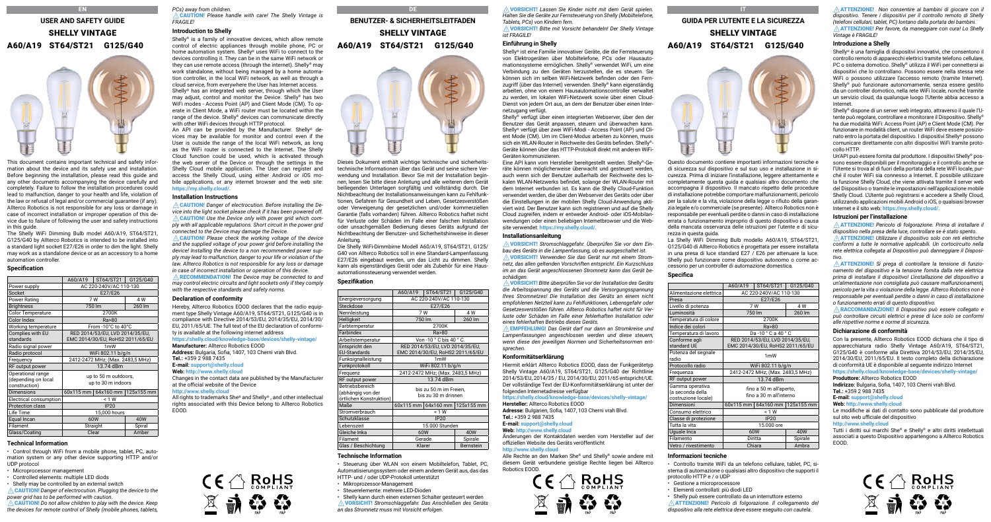# **EN USER AND SAFETY GUIDE** SHELLY VINTAGE А60/А19 ST64/ST21 G125/G40



This document contains important technical and safety information about the device and its safety use and installation. Before beginning the installation, please read this guide and any other documents accompanying the device carefully and completely. Failure to follow the installation procedures could lead to malfunction, danger to your health and life, violation of the law or refusal of legal and/or commercial guarantee (if any). Allterco Robotics is not responsible for any loss or damage in case of incorrect installation or improper operation of this device due to failure of following the user and safety instructions in this guide.

The Shelly WiFi Dimming Bulb model A60/A19, ST64/ST21, G125/G40 by Allterco Robotics is intended to be installed into a standard light socket E27/E26 in order to dim the light. Shelly may work as a standalone device or as an accessory to a home automation controller.

### **Specification**

|                                                           | A60/A19                                    | ST64/ST21 | G125/G40                       |
|-----------------------------------------------------------|--------------------------------------------|-----------|--------------------------------|
| Power supply                                              | AC 220-240V/AC 110-130                     |           |                                |
| Socket                                                    | E27/E26                                    |           |                                |
| Power Rating                                              | 7 W                                        |           | 4 W                            |
| <b>Brightness</b>                                         |                                            | 750 lm    | 260 lm                         |
| Color Temperature                                         |                                            | 2700K     |                                |
| Color Index                                               | Ra>80                                      |           |                                |
| Working temperature                                       | From -10°C to 40°C                         |           |                                |
| Complies with EU                                          | RED 2014/53/EU, LVD 2014/35/EU,            |           |                                |
| standards                                                 | EMC 2014/30/EU, RoHS2 2011/65/EU           |           |                                |
| Radio signal power                                        | 1 <sub>m</sub> W                           |           |                                |
| Radio protocol                                            | WiFi 802.11 b/g/n                          |           |                                |
| Frequency                                                 | 2412-2472 MHz; (Max. 2483,5 MHz)           |           |                                |
| RF output power                                           | 13.74 dBm                                  |           |                                |
| Operational range<br>(depending on local<br>construction) | up to 50 m outdoors,<br>up to 30 m indoors |           |                                |
| <b>Dimensions</b>                                         |                                            |           | 60x115 mm 64x160 mm 125x155 mm |
| Electrical consumption                                    | < 1 W                                      |           |                                |
| Protection class                                          | <b>IP20</b>                                |           |                                |
| Life Time                                                 | 15,000 hours                               |           |                                |
| Equal Incan                                               | 60W<br>40W                                 |           |                                |
| Filament                                                  | Straight                                   |           | Spiral                         |
| Glass/Coating                                             | Clear                                      |           | Amber                          |

### **Technical Information**

• Control through WiFi from a mobile phone, tablet, PC, automation system or any other device supporting HTTP and/or UDP protocol

- Microprocessor management
- Controlled elements: multiple LED diods
- Shelly may be controlled by an external switch

⚠CAUTION! *Danger of electrocution. Plugging the device to the power grid has to be performed with caution.*

⚠CAUTION! *Do not allow children to play with the device. Keep the devices for remote control of Shelly (mobile phones, tablets,*  *PCs) away from children.* ⚠CAUTION! *Please handle with care! The Shelly Vintage is FRAGILE!*

### **Introduction to Shelly**

Shelly® is a family of innovative devices, which allow remote control of electric appliances through mobile phone, PC or home automation system. Shelly® uses WiFi to connect to the devices controlling it. They can be in the same WiFi network or they can use remote access (through the internet). Shelly® may work standalone, without being managed by a home automation controller, in the local WiFi network, as well as through a cloud service, from everywhere the User has Internet access. Shelly® has an integrated web server, through which the User may adjust, control and monitor the Device. Shelly® has two WiFi modes - Access Point (AP) and Client Mode (CM). To operate in Client Mode, a WiFi router must be located within the range of the device. Shelly® devices can communicate directly with other WiFi devices through HTTP protocol.

An API can be provided by the Manufacturer. Shelly® devices may be available for monitor and control even if the User is outside the range of the local WiFi network, as long as the WiFi router is connected to the Internet. The Shelly Cloud function could be used, which is activated through the web server of the Device or through the settings in the Shelly Cloud mobile application. The User can register and access the Shelly Cloud, using either Android or iOS mobile applications, or any internet browser and the web site: **https://my.shelly.cloud/**.

### **Installation Instructions**

⚠CAUTION! *Danger of electrocution. Before installing the Device into the light socket please check if it has been powered off.* ⚠CAUTION! *Use the Device only with power grid which comply with all applicable regulations. Short circuit in the power grid connected to the Device may damage the Device.*

⚠CAUTION! *Please check the working voltage of the device and the supplied voltage of your power grid before installing the device! Installing the device to a non recommended power supply may lead to malfunction, danger to your life or violation of the law. Allterco Robotics is not responsible for any loss or damage in case of incorrect installation or operation of this device.* ⚠RECOMMENDATION! *The Device may be connected to and may control electric circuits and light sockets only if they comply with the respective standards and safety norms.*

#### **Declaration of conformity**

Hereby, Allterco Robotics EOOD declares that the radio equipment type Shelly Vintage A60/A19, ST64/ST21, G125/G40 is in compliance with Directive 2014/53/EU, 2014/35/EU, 2014/30/ EU, 2011/65/UE. The full text of the EU declaration of conformity is available at the following internet address **https://shelly.cloud/knowledge-base/devices/shelly-vintage/ Manufacturer:** Allterco Robotics EOOD **Address:** Bulgaria, Sofia, 1407, 103 Cherni vrah Blvd. **Tel.:** +359 2 988 7435 **E-mail: support@shelly.cloud Web: http://www.shelly.cloud** Changes in the contact data are published by the Manufacturer at the official website of the Device **http://www.shelly.cloud** All rights to trademarks She® and Shelly® , and other intellectual

rights associated with this Device belong to Allterco Robotics EOOD.

 $\mathsf{CE} \bigcirc \mathsf{RoHS}_{\mathsf{COMPLAN}}$ 

区前夺谷

**DE BENUTZER- & SICHERHEITSLEITFADEN**

# SHELLY VINTAGE А60/А19 ST64/ST21 G125/G40



Dieses Dokument enthält wichtige technische und sicherheitstechnische Informationen über das Gerät und seine sichere Verwendung und Installation. Bevor Sie mit der Installation beginnen, lesen Sie bitte diese Anleitung und alle weiteren dem Gerät beiliegenden Unterlagen sorgfältig und vollständig durch. Die Nichtbeachtung der Installationsanweisungen kann zu Fehlfunktionen, Gefahren für Gesundheit und Leben, Gesetzesverstößen oder Verweigerung der gesetzlichen und/oder kommerziellen Garantie (falls vorhanden) führen. Allterco Robotics haftet nicht für Verluste oder Schäden im Falle einer falschen Installation oder unsachgemäßen Bedienung dieses Geräts aufgrund der Nichtbeachtung der Benutzer- und Sicherheitshinweise in dieser Anleitung.

Die Shelly WiFi-Dimmbirne Modell A60/A19, ST64/ST21, G125/ G40 von Allterco Robotics soll in eine Standard-Lampenfassung E27/E26 eingebaut werden, um das Licht zu dimmen. Shelly kann als eigenständiges Gerät oder als Zubehör für eine Hausautomationssteuerung verwendet werden.

### **Spezifikation**

| AC 220-240V/AC 110-130                                              |  |                                                                  |
|---------------------------------------------------------------------|--|------------------------------------------------------------------|
| E27/E26                                                             |  |                                                                  |
| 7 W                                                                 |  | 4 W                                                              |
| 750 lm                                                              |  | 260 lm                                                           |
| 2700K                                                               |  |                                                                  |
| Ra>80                                                               |  |                                                                  |
| Von -10 ° C bis 40 ° C.                                             |  |                                                                  |
| RED 2014/53/EU, LVD 2014/35/EU,<br>EMC 2014/30/EU, RoHS2 2011/65/EU |  |                                                                  |
| 1 <sub>m</sub> W                                                    |  |                                                                  |
| WiFi 802.11 b/g/n                                                   |  |                                                                  |
| 2412-2472 MHz; (Max. 2483,5 MHz)                                    |  |                                                                  |
| 13.74 dBm                                                           |  |                                                                  |
| bis zu 50 m im Freien,<br>bis zu 30 m drinnen                       |  |                                                                  |
|                                                                     |  |                                                                  |
| < 1 W                                                               |  |                                                                  |
| <b>IP20</b>                                                         |  |                                                                  |
| 15.000 Stunden                                                      |  |                                                                  |
| 60W                                                                 |  | 40W                                                              |
| Gerade                                                              |  | Spirale                                                          |
| Klarer                                                              |  | Bernstein                                                        |
|                                                                     |  | A60/A19   ST64/ST21   G125/G40<br>60x115 mm 64x160 mm 125x155 mm |

### **Technische Information**

• Steuerung über WLAN von einem Mobiltelefon, Tablet, PC, Automatisierungssystem oder einem anderen Gerät aus, das das HTTP- und / oder UDP-Protokoll unterstützt

- Mikroprozessor-Management
- Shelly kann durch einen externen Schalter gesteuert werden
- ⚠VORSICHT! *Stromschlaggefahr. Das Anschließen des Geräts*

⚠VORSICHT! *Lassen Sie Kinder nicht mit dem Gerät spielen. Halten Sie die Geräte zur Fernsteuerung von Shelly (Mobiltelefone, Tablets, PCs) von Kindern fern.*

⚠VORSICHT! *Bitte mit Vorsicht behandeln! Der Shelly Vintage ist FRAGILE!*

### **Einführung in Shelly**

Shelly® ist eine Familie innovativer Geräte, die die Fernsteuerung von Elektrogeräten über Mobiltelefone, PCs oder Hausautomationssysteme ermöglichen. Shelly® verwendet WiFi, um eine Verbindung zu den Geräten herzustellen, die es steuern. Sie können sich im selben WiFi-Netzwerk befinden oder den Fernzugriff (über das Internet) verwenden. Shelly® kann eigenständig arbeiten, ohne von einem Hausautomationscontroller verwaltet zu werden, im lokalen WiFi-Netzwerk sowie über einen Cloud-Dienst von jedem Ort aus, an dem der Benutzer über einen Internetzugang verfügt.

Shelly® verfügt über einen integrierten Webserver, über den der Benutzer das Gerät anpassen, steuern und überwachen kann. Shelly® verfügt über zwei WiFi-Modi - Access Point (AP) und Client Mode (CM). Um im Client-Modus arbeiten zu können, muss sich ein WLAN-Router in Reichweite des Geräts befinden. Shelly®- Geräte können über das HTTP-Protokoll direkt mit anderen WiFi-Geräten kommunizieren.

Eine API kann vom Hersteller bereitgestellt werden. Shelly®-Geräte können möglicherweise überwacht und gesteuert werden, auch wenn sich der Benutzer außerhalb der Reichweite des lokalen WLAN-Netzwerks befindet, solange der WLAN-Router mit dem Internet verbunden ist. Es kann die Shelly Cloud-Funktion verwendet werden, die über den Webserver des Geräts oder über die Einstellungen in der mobilen Shelly Cloud-Anwendung aktiviert wird. Der Benutzer kann sich registrieren und auf die Shelly Cloud zugreifen, indem er entweder Android- oder iOS-Mobilanwendungen oder einen beliebigen Internetbrowser und die Website verwendet: **https://my.shelly.cloud/**.

### **Installationsanleitung**

⚠VORSICHT! *Stromschlaggefahr. Überprüfen Sie vor dem Einbau des Geräts in die Lampenfassung, ob es ausgeschaltet ist.* ⚠VORSICHT! *Verwenden Sie das Gerät nur mit einem Stromnetz, das allen geltenden Vorschriften entspricht. Ein Kurzschluss im an das Gerät angeschlossenen Stromnetz kann das Gerät beschädigen.*

⚠VORSICHT! *Bitte überprüfen Sie vor der Installation des Geräts die Arbeitsspannung des Geräts und die Versorgungsspannung Ihres Stromnetzes! Die Installation des Geräts an einem nicht empfohlenen Netzteil kann zu Fehlfunktionen, Lebensgefahr oder Gesetzesverstößen führen. Allterco Robotics haftet nicht für Verluste oder Schäden im Falle einer fehlerhaften Installation oder eines fehlerhaften Betriebs dieses Geräts.*

⚠EMPFEHLUNG! *Das Gerät darf nur dann an Stromkreise und Lampenfassungen angeschlossen werden und diese steuern, wenn diese den jeweiligen Normen und Sicherheitsnormen entsprechen.*

### **Konformitätserklärung**

Hiermit erklärt Allterco Robotics EOOD, dass der Funkgerätetyp Shelly Vintage A60/A19, ST64/ST21, G125/G40 der Richtlinie 2014/53/EU, 2014/35 / EU, 2014/30/EU, 2011/65 entspricht/UE. Der vollständige Text der EU-Konformitätserklärung ist unter der folgenden Internetadresse verfügbar

#### **https://shelly.cloud/knowledge-base/devices/shelly-vintage/**

**Hersteller:** Allterco Robotics EOOD **Adresse:** Bulgarien, Sofia, 1407, 103 Cherni vrah Blvd. **Tel.:** +359 2 988 7435

**E-mail: support@shelly.cloud Web: http://www.shelly.cloud**

### Änderungen der Kontaktdaten werden vom Hersteller auf der

offiziellen Website des Geräts veröffentlicht **http://www.shelly.cloud**

Alle Rechte an den Marken She® und Shelly® sowie andere mit diesem Gerät verbundene geistige Rechte liegen bei Allterco Robotics EOOD.



## **IT GUIDA PER L'UTENTE E LA SICUREZZA** SHELLY VINTAGE А60/А19 ST64/ST21 G125/G40

Questo documento contiene importanti informazioni tecniche e di sicurezza sul dispositivo e sul suo uso e installazione in sicurezza. Prima di iniziare l'installazione, leggere attentamente e completamente questa guida e qualsiasi altro documento che accompagna il dispositivo. Il mancato rispetto delle procedure di installazione potrebbe comportare malfunzionamenti, pericolo per la salute e la vita, violazione della legge o rifiuto della garanzia legale e/o commerciale (se presente). Allterco Robotics non è responsabile per eventuali perdite o danni in caso di installazione errata o funzionamento improprio di questo dispositivo a causa della mancata osservanza delle istruzioni per l'utente e di sicurezza in questa guida.

La Shelly WiFi Dimming Bulb modello A60/A19, ST64/ST21, G125/G40 di Allterco Robotics è progettata per essere installata in una presa di luce standard E27 / E26 per attenuare la luce. Shelly può funzionare come dispositivo autonomo o come accessorio per un controller di automazione domestica.

### **Specifica**

|                                                            |                                                                     | A60/A19   ST64/ST21 | G125/G40                       |
|------------------------------------------------------------|---------------------------------------------------------------------|---------------------|--------------------------------|
| Alimentazione elettrica                                    | AC 220-240V/AC 110-130                                              |                     |                                |
| Presa                                                      |                                                                     | E27/E26             |                                |
| Livello di potenza                                         | 7W                                                                  |                     | 4 W                            |
| Luminosità                                                 | 750 lm                                                              |                     | 260 lm                         |
| Temperatura di colore                                      | 2700K                                                               |                     |                                |
| Indice dei colori                                          |                                                                     | Ra > 80             |                                |
| Temperatura di lavoro                                      | Da-10 ° C a 40 ° C                                                  |                     |                                |
| Conforme agli<br>standard UE                               | RED 2014/53/EU, LVD 2014/35/EU,<br>EMC 2014/30/EU, RoHS2 2011/65/EU |                     |                                |
| Potenza del segnale<br>radio                               | 1mW                                                                 |                     |                                |
| Protocollo radio                                           | WiFi 802.11 b/g/n                                                   |                     |                                |
| Frequenza                                                  | 2412-2472 MHz; (Max. 2483,5 MHz)                                    |                     |                                |
| RF output power                                            | 13.74 dBm                                                           |                     |                                |
| Gamma operativa<br>(a seconda della<br>costruzione locale) | fino a 50 m all'aperto,<br>fino a 30 m all'interno                  |                     |                                |
| Dimensioni                                                 |                                                                     |                     | 60x115 mm 64x160 mm 125x155 mm |
| Consumo elettrico                                          | < 1 W                                                               |                     |                                |
| Classe di protezione                                       | IP20                                                                |                     |                                |
| Tutta la vita                                              | 15,000 ore                                                          |                     |                                |
| Uquale Inca                                                | 60W                                                                 |                     | 40W                            |
| Filamento                                                  | Diritta                                                             |                     | Spirale                        |
| Vetro / rivestimento                                       | Chiara                                                              |                     | Ambra                          |

### **Informazioni tecniche**

- Controllo tramite WiFi da un telefono cellulare, tablet, PC, sistema di automazione o qualsiasi altro dispositivo che supporti il protocollo HTTP e / o UDP
- Gestione a microprocessore
- Elementi controllati: più diodi LED
- Shelly può essere controllato da un interruttore esterno
- ⚠ATTENZIONE! *Pericolo di folgorazione. Il collegamento del*

*dispositivo alla rete elettrica deve essere eseguito con cautela.*

⚠ATTENZIONE! *Non consentire ai bambini di giocare con il dispositivo. Tenere i dispositivi per il controllo remoto di Shelly (telefoni cellulari, tablet, PC) lontano dalla portata dei bambini.* ⚠ATTENZIONE! *Per favore, da maneggiare con cura! Lo Shelly Vintage è FRAGILE!*

### **Introduzione a Shelly**

Shelly® è una famiglia di dispositivi innovativi, che consentono il controllo remoto di apparecchi elettrici tramite telefono cellulare, PC o sistema domotico. Shelly® utilizza il WiFi per connettersi ai dispositivi che lo controllano. Possono essere nella stessa rete WiFi o possono utilizzare l'accesso remoto (tramite Internet). Shelly® può funzionare autonomamente, senza essere gestito da un controller domotico, nella rete WiFi locale, nonché tramite un servizio cloud, da qualunque luogo l'Utente abbia accesso a Internet.

Shelly® dispone di un server web integrato, attraverso il quale l'Utente può regolare, controllare e monitorare il Dispositivo. Shelly® ha due modalità WiFi: Access Point (AP) e Client Mode (CM). Per funzionare in modalità client, un router WiFi deve essere posizionato entro la portata del dispositivo. I dispositivi Shelly® possono comunicare direttamente con altri dispositivi WiFi tramite protocollo HTTP.

Un'API può essere fornita dal produttore. I dispositivi Shelly® possono essere disponibili per il monitoraggio e il controllo anche se l'Utente si trova al di fuori della portata della rete WiFi locale, purché il router WiFi sia connesso a Internet. È possibile utilizzare la funzione Shelly Cloud, che viene attivata tramite il server web del Dispositivo o tramite le impostazioni nell'applicazione mobile Shelly Cloud. L'Utente può registrarsi e accedere a Shelly Cloud, utilizzando applicazioni mobili Android o iOS, o qualsiasi browser Internet e il sito web: https://my.shelly.cloud

### **Istruzioni per l'installazione**

⚠ATTENZIONE! *Pericolo di folgorazione. Prima di installare il dispositivo nella presa della luce, controllare se è stato spento.* ⚠ATTENZIONE! *Utilizzare il dispositivo solo con reti elettriche conformi a tutte le normative applicabili. Un cortocircuito nella rete elettrica collegata al Dispositivo può danneggiare il Dispositivo.*

⚠ATTENZIONE! *Si prega di controllare la tensione di funzionamento del dispositivo e la tensione fornita dalla rete elettrica prima di installare il dispositivo! L'installazione del dispositivo a un'alimentazione non consigliata può causare malfunzionamenti, pericolo per la vita o violazione della legge. Allterco Robotics non è responsabile per eventuali perdite o danni in caso di installazione o funzionamento errati di questo dispositivo.*

⚠RACCOMANDAZIONE! *Il Dispositivo può essere collegato e può controllare circuiti elettrici e prese di luce solo se conformi alle rispettive norme e norme di sicurezza.*

#### **Dichiarazione di conformità**

Con la presente, Allterco Robotics EOOD dichiara che il tipo di apparecchiatura radio Shelly Vintage A60/A19, ST64/ST21, G125/G40 è conforme alla Direttiva 2014/53/EU, 2014/35/EU, 2014/30/EU, 2011/65/EU. Il testo completo della dichiarazione di conformità UE è disponibile al seguente indirizzo Internet **https://shelly.cloud/knowledge-base/devices/shelly-vintage/**

#### **Produttore:** Allterco Robotics EOOD

**Indirizzo:** Bulgaria, Sofia, 1407, 103 Cherni vrah Blvd. **Tel.:** +359 2 988 7435

#### **E-mail: support@shelly.cloud Web: http://www.shelly.cloud**

Le modifiche ai dati di contatto sono pubblicate dal produttore

### sul sito web ufficiale del dispositivo **http://www.shelly.cloud**

Tutti i diritti sui marchi She® e Shelly® e altri diritti intellettuali associati a questo Dispositivo appartengono a Allterco Robotics EOOD.



• Steuerelemente: mehrere LED-Dioden *an das Stromnetz muss mit Vorsicht erfolgen.*